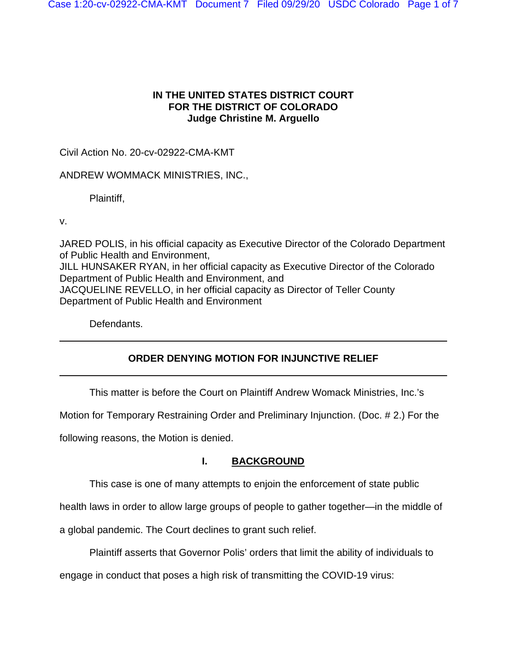## **IN THE UNITED STATES DISTRICT COURT FOR THE DISTRICT OF COLORADO Judge Christine M. Arguello**

## Civil Action No. 20-cv-02922-CMA-KMT

## ANDREW WOMMACK MINISTRIES, INC.,

Plaintiff,

v.

JARED POLIS, in his official capacity as Executive Director of the Colorado Department of Public Health and Environment, JILL HUNSAKER RYAN, in her official capacity as Executive Director of the Colorado Department of Public Health and Environment, and JACQUELINE REVELLO, in her official capacity as Director of Teller County Department of Public Health and Environment

Defendants.

# **ORDER DENYING MOTION FOR INJUNCTIVE RELIEF**

This matter is before the Court on Plaintiff Andrew Womack Ministries, Inc.'s

Motion for Temporary Restraining Order and Preliminary Injunction. (Doc. # 2.) For the

following reasons, the Motion is denied.

# **I. BACKGROUND**

This case is one of many attempts to enjoin the enforcement of state public

health laws in order to allow large groups of people to gather together—in the middle of

a global pandemic. The Court declines to grant such relief.

Plaintiff asserts that Governor Polis' orders that limit the ability of individuals to

engage in conduct that poses a high risk of transmitting the COVID-19 virus: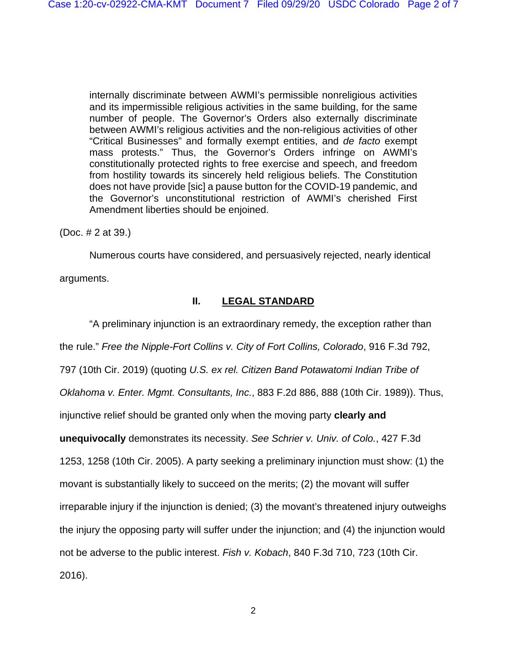internally discriminate between AWMI's permissible nonreligious activities and its impermissible religious activities in the same building, for the same number of people. The Governor's Orders also externally discriminate between AWMI's religious activities and the non-religious activities of other "Critical Businesses" and formally exempt entities, and *de facto* exempt mass protests." Thus, the Governor's Orders infringe on AWMI's constitutionally protected rights to free exercise and speech, and freedom from hostility towards its sincerely held religious beliefs. The Constitution does not have provide [sic] a pause button for the COVID-19 pandemic, and the Governor's unconstitutional restriction of AWMI's cherished First Amendment liberties should be enjoined.

(Doc. # 2 at 39.)

Numerous courts have considered, and persuasively rejected, nearly identical arguments.

### **II. LEGAL STANDARD**

"A preliminary injunction is an extraordinary remedy, the exception rather than the rule." *Free the Nipple-Fort Collins v. City of Fort Collins, Colorado*, 916 F.3d 792, 797 (10th Cir. 2019) (quoting *U.S. ex rel. Citizen Band Potawatomi Indian Tribe of Oklahoma v. Enter. Mgmt. Consultants, Inc.*, 883 F.2d 886, 888 (10th Cir. 1989)). Thus, injunctive relief should be granted only when the moving party **clearly and unequivocally** demonstrates its necessity. *See Schrier v. Univ. of Colo.*, 427 F.3d 1253, 1258 (10th Cir. 2005). A party seeking a preliminary injunction must show: (1) the movant is substantially likely to succeed on the merits; (2) the movant will suffer irreparable injury if the injunction is denied; (3) the movant's threatened injury outweighs the injury the opposing party will suffer under the injunction; and (4) the injunction would not be adverse to the public interest. *Fish v. Kobach*, 840 F.3d 710, 723 (10th Cir. 2016).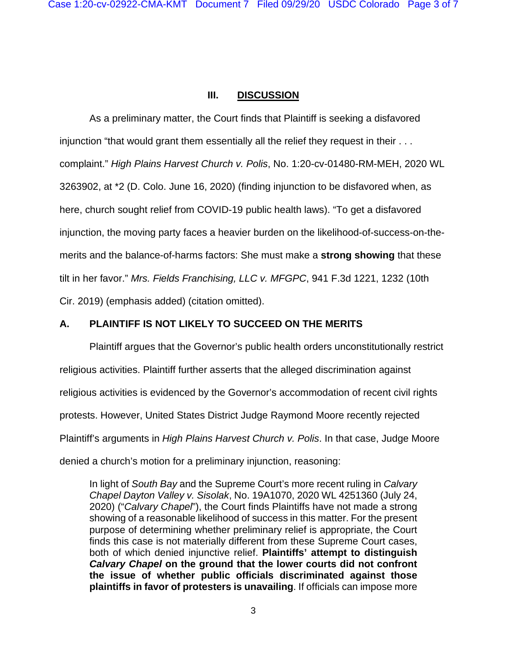#### **III. DISCUSSION**

As a preliminary matter, the Court finds that Plaintiff is seeking a disfavored injunction "that would grant them essentially all the relief they request in their . . . complaint." *High Plains Harvest Church v. Polis*, No. 1:20-cv-01480-RM-MEH, 2020 WL 3263902, at \*2 (D. Colo. June 16, 2020) (finding injunction to be disfavored when, as here, church sought relief from COVID-19 public health laws). "To get a disfavored injunction, the moving party faces a heavier burden on the likelihood-of-success-on-themerits and the balance-of-harms factors: She must make a **strong showing** that these tilt in her favor." *Mrs. Fields Franchising, LLC v. MFGPC*, 941 F.3d 1221, 1232 (10th Cir. 2019) (emphasis added) (citation omitted).

#### **A. PLAINTIFF IS NOT LIKELY TO SUCCEED ON THE MERITS**

Plaintiff argues that the Governor's public health orders unconstitutionally restrict religious activities. Plaintiff further asserts that the alleged discrimination against religious activities is evidenced by the Governor's accommodation of recent civil rights protests. However, United States District Judge Raymond Moore recently rejected Plaintiff's arguments in *High Plains Harvest Church v. Polis*. In that case, Judge Moore denied a church's motion for a preliminary injunction, reasoning:

In light of *South Bay* and the Supreme Court's more recent ruling in *Calvary Chapel Dayton Valley v. Sisolak*, No. 19A1070, 2020 WL 4251360 (July 24, 2020) ("*Calvary Chapel*"), the Court finds Plaintiffs have not made a strong showing of a reasonable likelihood of success in this matter. For the present purpose of determining whether preliminary relief is appropriate, the Court finds this case is not materially different from these Supreme Court cases, both of which denied injunctive relief. **Plaintiffs' attempt to distinguish**  *Calvary Chapel* **on the ground that the lower courts did not confront the issue of whether public officials discriminated against those plaintiffs in favor of protesters is unavailing**. If officials can impose more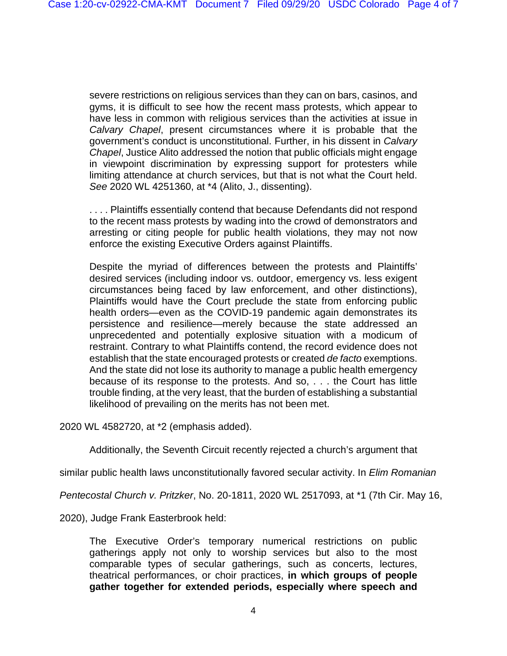severe restrictions on religious services than they can on bars, casinos, and gyms, it is difficult to see how the recent mass protests, which appear to have less in common with religious services than the activities at issue in *Calvary Chapel*, present circumstances where it is probable that the government's conduct is unconstitutional. Further, in his dissent in *Calvary Chapel*, Justice Alito addressed the notion that public officials might engage in viewpoint discrimination by expressing support for protesters while limiting attendance at church services, but that is not what the Court held. *See* 2020 WL 4251360, at \*4 (Alito, J., dissenting).

.... Plaintiffs essentially contend that because Defendants did not respond to the recent mass protests by wading into the crowd of demonstrators and arresting or citing people for public health violations, they may not now enforce the existing Executive Orders against Plaintiffs.

Despite the myriad of differences between the protests and Plaintiffs' desired services (including indoor vs. outdoor, emergency vs. less exigent circumstances being faced by law enforcement, and other distinctions), Plaintiffs would have the Court preclude the state from enforcing public health orders—even as the COVID-19 pandemic again demonstrates its persistence and resilience—merely because the state addressed an unprecedented and potentially explosive situation with a modicum of restraint. Contrary to what Plaintiffs contend, the record evidence does not establish that the state encouraged protests or created *de facto* exemptions. And the state did not lose its authority to manage a public health emergency because of its response to the protests. And so, . . . the Court has little trouble finding, at the very least, that the burden of establishing a substantial likelihood of prevailing on the merits has not been met.

2020 WL 4582720, at \*2 (emphasis added).

Additionally, the Seventh Circuit recently rejected a church's argument that

similar public health laws unconstitutionally favored secular activity. In *Elim Romanian* 

*Pentecostal Church v. Pritzker*, No. 20-1811, 2020 WL 2517093, at \*1 (7th Cir. May 16,

2020), Judge Frank Easterbrook held:

The Executive Order's temporary numerical restrictions on public gatherings apply not only to worship services but also to the most comparable types of secular gatherings, such as concerts, lectures, theatrical performances, or choir practices, **in which groups of people gather together for extended periods, especially where speech and**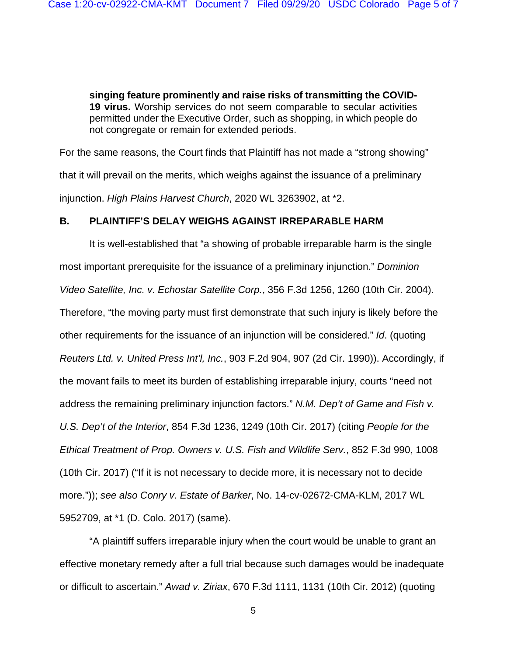**singing feature prominently and raise risks of transmitting the COVID-19 virus.** Worship services do not seem comparable to secular activities permitted under the Executive Order, such as shopping, in which people do not congregate or remain for extended periods.

For the same reasons, the Court finds that Plaintiff has not made a "strong showing" that it will prevail on the merits, which weighs against the issuance of a preliminary injunction. *High Plains Harvest Church*, 2020 WL 3263902, at \*2.

#### **B. PLAINTIFF'S DELAY WEIGHS AGAINST IRREPARABLE HARM**

It is well-established that "a showing of probable irreparable harm is the single most important prerequisite for the issuance of a preliminary injunction." *Dominion Video Satellite, Inc. v. Echostar Satellite Corp.*, 356 F.3d 1256, 1260 (10th Cir. 2004). Therefore, "the moving party must first demonstrate that such injury is likely before the other requirements for the issuance of an injunction will be considered." *Id*. (quoting *Reuters Ltd. v. United Press Int'l, Inc.*, 903 F.2d 904, 907 (2d Cir. 1990)). Accordingly, if the movant fails to meet its burden of establishing irreparable injury, courts "need not address the remaining preliminary injunction factors." *N.M. Dep't of Game and Fish v. U.S. Dep't of the Interior*, 854 F.3d 1236, 1249 (10th Cir. 2017) (citing *People for the Ethical Treatment of Prop. Owners v. U.S. Fish and Wildlife Serv.*, 852 F.3d 990, 1008 (10th Cir. 2017) ("If it is not necessary to decide more, it is necessary not to decide more.")); *see also Conry v. Estate of Barker*, No. 14-cv-02672-CMA-KLM, 2017 WL 5952709, at \*1 (D. Colo. 2017) (same).

"A plaintiff suffers irreparable injury when the court would be unable to grant an effective monetary remedy after a full trial because such damages would be inadequate or difficult to ascertain." *Awad v. Ziriax*, 670 F.3d 1111, 1131 (10th Cir. 2012) (quoting

5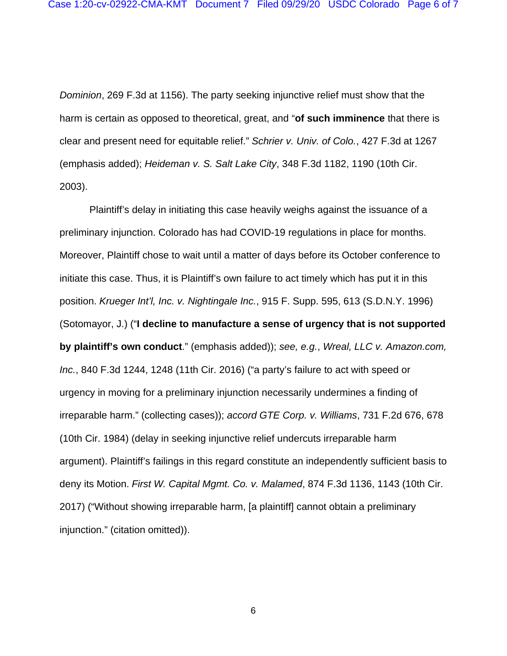*Dominion*, 269 F.3d at 1156). The party seeking injunctive relief must show that the harm is certain as opposed to theoretical, great, and "**of such imminence** that there is clear and present need for equitable relief." *Schrier v. Univ. of Colo.*, 427 F.3d at 1267 (emphasis added); *Heideman v. S. Salt Lake City*, 348 F.3d 1182, 1190 (10th Cir. 2003).

Plaintiff's delay in initiating this case heavily weighs against the issuance of a preliminary injunction. Colorado has had COVID-19 regulations in place for months. Moreover, Plaintiff chose to wait until a matter of days before its October conference to initiate this case. Thus, it is Plaintiff's own failure to act timely which has put it in this position. *Krueger Int'l, Inc. v. Nightingale Inc.*, 915 F. Supp. 595, 613 (S.D.N.Y. 1996) (Sotomayor, J.) ("**I decline to manufacture a sense of urgency that is not supported by plaintiff's own conduct**." (emphasis added)); *see, e.g.*, *Wreal, LLC v. Amazon.com, Inc.*, 840 F.3d 1244, 1248 (11th Cir. 2016) ("a party's failure to act with speed or urgency in moving for a preliminary injunction necessarily undermines a finding of irreparable harm." (collecting cases)); *accord GTE Corp. v. Williams*, 731 F.2d 676, 678 (10th Cir. 1984) (delay in seeking injunctive relief undercuts irreparable harm argument). Plaintiff's failings in this regard constitute an independently sufficient basis to deny its Motion. *First W. Capital Mgmt. Co. v. Malamed*, 874 F.3d 1136, 1143 (10th Cir. 2017) ("Without showing irreparable harm, [a plaintiff] cannot obtain a preliminary injunction." (citation omitted)).

6